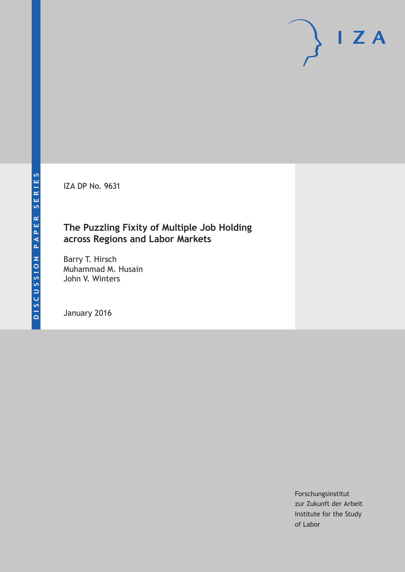IZA DP No. 9631

## **The Puzzling Fixity of Multiple Job Holding across Regions and Labor Markets**

Barry T. Hirsch Muhammad M. Husain John V. Winters

January 2016

Forschungsinstitut zur Zukunft der Arbeit Institute for the Study of Labor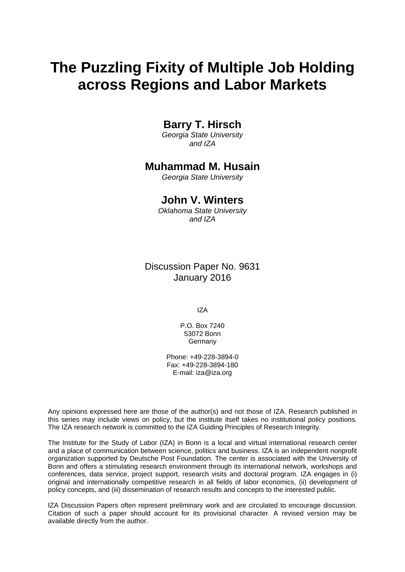# **The Puzzling Fixity of Multiple Job Holding across Regions and Labor Markets**

## **Barry T. Hirsch**

*Georgia State University and IZA* 

### **Muhammad M. Husain**

*Georgia State University* 

### **John V. Winters**

*Oklahoma State University and IZA*

Discussion Paper No. 9631 January 2016

IZA

P.O. Box 7240 53072 Bonn **Germany** 

Phone: +49-228-3894-0 Fax: +49-228-3894-180 E-mail: iza@iza.org

Any opinions expressed here are those of the author(s) and not those of IZA. Research published in this series may include views on policy, but the institute itself takes no institutional policy positions. The IZA research network is committed to the IZA Guiding Principles of Research Integrity.

The Institute for the Study of Labor (IZA) in Bonn is a local and virtual international research center and a place of communication between science, politics and business. IZA is an independent nonprofit organization supported by Deutsche Post Foundation. The center is associated with the University of Bonn and offers a stimulating research environment through its international network, workshops and conferences, data service, project support, research visits and doctoral program. IZA engages in (i) original and internationally competitive research in all fields of labor economics, (ii) development of policy concepts, and (iii) dissemination of research results and concepts to the interested public.

IZA Discussion Papers often represent preliminary work and are circulated to encourage discussion. Citation of such a paper should account for its provisional character. A revised version may be available directly from the author.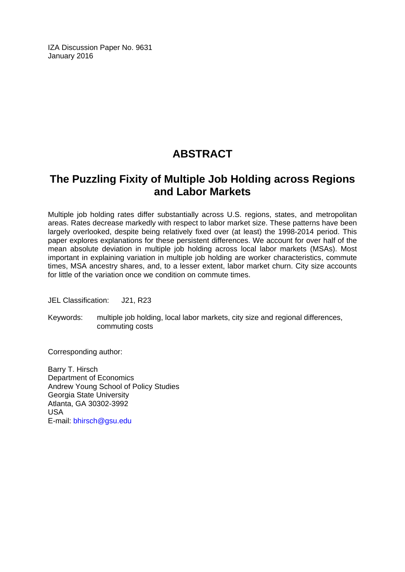IZA Discussion Paper No. 9631 January 2016

## **ABSTRACT**

## **The Puzzling Fixity of Multiple Job Holding across Regions and Labor Markets**

Multiple job holding rates differ substantially across U.S. regions, states, and metropolitan areas. Rates decrease markedly with respect to labor market size. These patterns have been largely overlooked, despite being relatively fixed over (at least) the 1998-2014 period. This paper explores explanations for these persistent differences. We account for over half of the mean absolute deviation in multiple job holding across local labor markets (MSAs). Most important in explaining variation in multiple job holding are worker characteristics, commute times, MSA ancestry shares, and, to a lesser extent, labor market churn. City size accounts for little of the variation once we condition on commute times.

JEL Classification: J21, R23

Keywords: multiple job holding, local labor markets, city size and regional differences, commuting costs

Corresponding author:

Barry T. Hirsch Department of Economics Andrew Young School of Policy Studies Georgia State University Atlanta, GA 30302-3992 USA E-mail: bhirsch@gsu.edu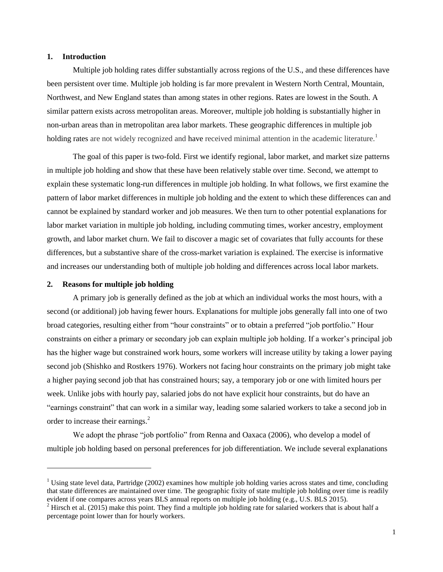#### **1. Introduction**

Multiple job holding rates differ substantially across regions of the U.S., and these differences have been persistent over time. Multiple job holding is far more prevalent in Western North Central, Mountain, Northwest, and New England states than among states in other regions. Rates are lowest in the South. A similar pattern exists across metropolitan areas. Moreover, multiple job holding is substantially higher in non-urban areas than in metropolitan area labor markets. These geographic differences in multiple job holding rates are not widely recognized and have received minimal attention in the academic literature.<sup>1</sup>

The goal of this paper is two-fold. First we identify regional, labor market, and market size patterns in multiple job holding and show that these have been relatively stable over time. Second, we attempt to explain these systematic long-run differences in multiple job holding. In what follows, we first examine the pattern of labor market differences in multiple job holding and the extent to which these differences can and cannot be explained by standard worker and job measures. We then turn to other potential explanations for labor market variation in multiple job holding, including commuting times, worker ancestry, employment growth, and labor market churn. We fail to discover a magic set of covariates that fully accounts for these differences, but a substantive share of the cross-market variation is explained. The exercise is informative and increases our understanding both of multiple job holding and differences across local labor markets.

#### **2. Reasons for multiple job holding**

 $\overline{a}$ 

A primary job is generally defined as the job at which an individual works the most hours, with a second (or additional) job having fewer hours. Explanations for multiple jobs generally fall into one of two broad categories, resulting either from "hour constraints" or to obtain a preferred "job portfolio." Hour constraints on either a primary or secondary job can explain multiple job holding. If a worker's principal job has the higher wage but constrained work hours, some workers will increase utility by taking a lower paying second job (Shishko and Rostkers 1976). Workers not facing hour constraints on the primary job might take a higher paying second job that has constrained hours; say, a temporary job or one with limited hours per week. Unlike jobs with hourly pay, salaried jobs do not have explicit hour constraints, but do have an "earnings constraint" that can work in a similar way, leading some salaried workers to take a second job in order to increase their earnings.<sup>2</sup>

We adopt the phrase "job portfolio" from Renna and Oaxaca (2006), who develop a model of multiple job holding based on personal preferences for job differentiation. We include several explanations

<sup>&</sup>lt;sup>1</sup> Using state level data, Partridge (2002) examines how multiple job holding varies across states and time, concluding that state differences are maintained over time. The geographic fixity of state multiple job holding over time is readily evident if one compares across years BLS annual reports on multiple job holding (e.g., U.S. BLS 2015).

 $2$  Hirsch et al. (2015) make this point. They find a multiple job holding rate for salaried workers that is about half a percentage point lower than for hourly workers.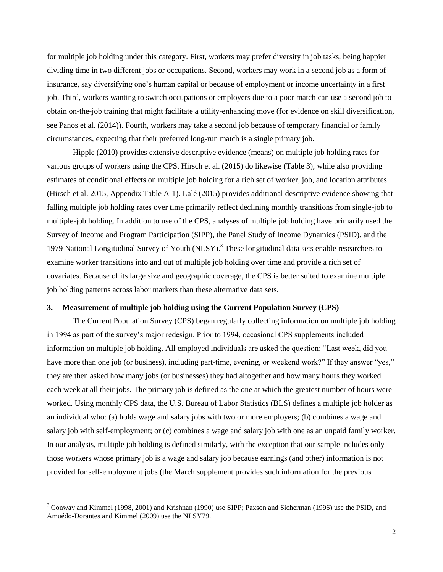for multiple job holding under this category. First, workers may prefer diversity in job tasks, being happier dividing time in two different jobs or occupations. Second, workers may work in a second job as a form of insurance, say diversifying one's human capital or because of employment or income uncertainty in a first job. Third, workers wanting to switch occupations or employers due to a poor match can use a second job to obtain on-the-job training that might facilitate a utility-enhancing move (for evidence on skill diversification, see Panos et al. (2014)). Fourth, workers may take a second job because of temporary financial or family circumstances, expecting that their preferred long-run match is a single primary job.

Hipple (2010) provides extensive descriptive evidence (means) on multiple job holding rates for various groups of workers using the CPS. Hirsch et al. (2015) do likewise (Table 3), while also providing estimates of conditional effects on multiple job holding for a rich set of worker, job, and location attributes (Hirsch et al. 2015, Appendix Table A-1). Lalé (2015) provides additional descriptive evidence showing that falling multiple job holding rates over time primarily reflect declining monthly transitions from single-job to multiple-job holding. In addition to use of the CPS, analyses of multiple job holding have primarily used the Survey of Income and Program Participation (SIPP), the Panel Study of Income Dynamics (PSID), and the 1979 National Longitudinal Survey of Youth (NLSY).<sup>3</sup> These longitudinal data sets enable researchers to examine worker transitions into and out of multiple job holding over time and provide a rich set of covariates. Because of its large size and geographic coverage, the CPS is better suited to examine multiple job holding patterns across labor markets than these alternative data sets.

#### **3. Measurement of multiple job holding using the Current Population Survey (CPS)**

The Current Population Survey (CPS) began regularly collecting information on multiple job holding in 1994 as part of the survey's major redesign. Prior to 1994, occasional CPS supplements included information on multiple job holding. All employed individuals are asked the question: "Last week, did you have more than one job (or business), including part-time, evening, or weekend work?" If they answer "yes," they are then asked how many jobs (or businesses) they had altogether and how many hours they worked each week at all their jobs. The primary job is defined as the one at which the greatest number of hours were worked. Using monthly CPS data, the U.S. Bureau of Labor Statistics (BLS) defines a multiple job holder as an individual who: (a) holds wage and salary jobs with two or more employers; (b) combines a wage and salary job with self-employment; or (c) combines a wage and salary job with one as an unpaid family worker. In our analysis, multiple job holding is defined similarly, with the exception that our sample includes only those workers whose primary job is a wage and salary job because earnings (and other) information is not provided for self-employment jobs (the March supplement provides such information for the previous

 $\overline{a}$ 

 $3$  Conway and Kimmel (1998, 2001) and Krishnan (1990) use SIPP; Paxson and Sicherman (1996) use the PSID, and Amuédo-Dorantes and Kimmel (2009) use the NLSY79.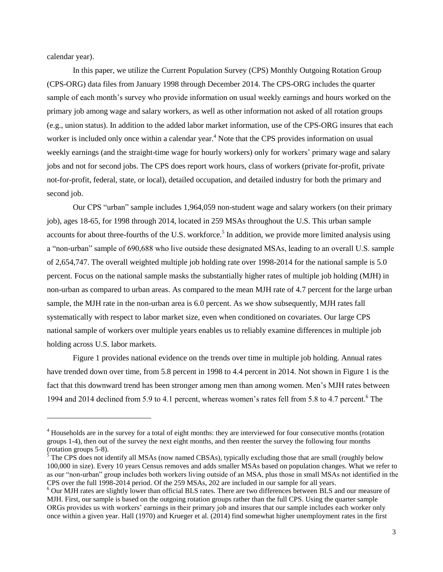calendar year).

 $\overline{a}$ 

In this paper, we utilize the Current Population Survey (CPS) Monthly Outgoing Rotation Group (CPS-ORG) data files from January 1998 through December 2014. The CPS-ORG includes the quarter sample of each month's survey who provide information on usual weekly earnings and hours worked on the primary job among wage and salary workers, as well as other information not asked of all rotation groups (e.g., union status). In addition to the added labor market information, use of the CPS-ORG insures that each worker is included only once within a calendar year.<sup>4</sup> Note that the CPS provides information on usual weekly earnings (and the straight-time wage for hourly workers) only for workers' primary wage and salary jobs and not for second jobs. The CPS does report work hours, class of workers (private for-profit, private not-for-profit, federal, state, or local), detailed occupation, and detailed industry for both the primary and second job.

Our CPS "urban" sample includes 1,964,059 non-student wage and salary workers (on their primary job), ages 18-65, for 1998 through 2014, located in 259 MSAs throughout the U.S. This urban sample accounts for about three-fourths of the U.S. workforce.<sup>5</sup> In addition, we provide more limited analysis using a "non-urban" sample of 690,688 who live outside these designated MSAs, leading to an overall U.S. sample of 2,654,747. The overall weighted multiple job holding rate over 1998-2014 for the national sample is 5.0 percent. Focus on the national sample masks the substantially higher rates of multiple job holding (MJH) in non-urban as compared to urban areas. As compared to the mean MJH rate of 4.7 percent for the large urban sample, the MJH rate in the non-urban area is 6.0 percent. As we show subsequently, MJH rates fall systematically with respect to labor market size, even when conditioned on covariates. Our large CPS national sample of workers over multiple years enables us to reliably examine differences in multiple job holding across U.S. labor markets.

Figure 1 provides national evidence on the trends over time in multiple job holding. Annual rates have trended down over time, from 5.8 percent in 1998 to 4.4 percent in 2014. Not shown in Figure 1 is the fact that this downward trend has been stronger among men than among women. Men's MJH rates between 1994 and 2014 declined from 5.9 to 4.1 percent, whereas women's rates fell from 5.8 to 4.7 percent.<sup>6</sup> The

<sup>&</sup>lt;sup>4</sup> Households are in the survey for a total of eight months: they are interviewed for four consecutive months (rotation groups 1-4), then out of the survey the next eight months, and then reenter the survey the following four months (rotation groups 5-8).

 $\frac{5}{5}$  The CPS does not identify all MSAs (now named CBSAs), typically excluding those that are small (roughly below 100,000 in size). Every 10 years Census removes and adds smaller MSAs based on population changes. What we refer to as our "non-urban" group includes both workers living outside of an MSA, plus those in small MSAs not identified in the CPS over the full 1998-2014 period. Of the 259 MSAs, 202 are included in our sample for all years.

<sup>6</sup> Our MJH rates are slightly lower than official BLS rates. There are two differences between BLS and our measure of MJH. First, our sample is based on the outgoing rotation groups rather than the full CPS. Using the quarter sample ORGs provides us with workers' earnings in their primary job and insures that our sample includes each worker only once within a given year. Hall (1970) and Krueger et al. (2014) find somewhat higher unemployment rates in the first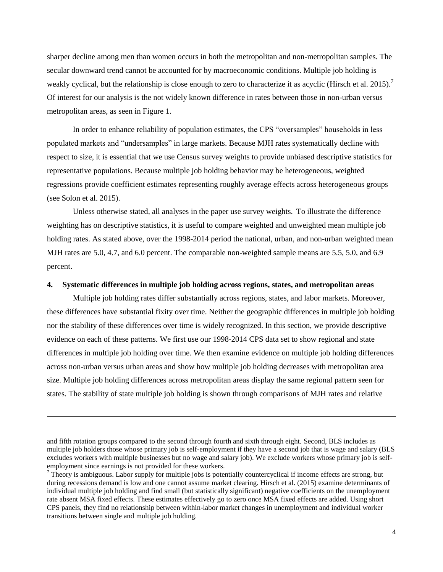sharper decline among men than women occurs in both the metropolitan and non-metropolitan samples. The secular downward trend cannot be accounted for by macroeconomic conditions. Multiple job holding is weakly cyclical, but the relationship is close enough to zero to characterize it as acyclic (Hirsch et al. 2015).<sup>7</sup> Of interest for our analysis is the not widely known difference in rates between those in non-urban versus metropolitan areas, as seen in Figure 1.

In order to enhance reliability of population estimates, the CPS "oversamples" households in less populated markets and "undersamples" in large markets. Because MJH rates systematically decline with respect to size, it is essential that we use Census survey weights to provide unbiased descriptive statistics for representative populations. Because multiple job holding behavior may be heterogeneous, weighted regressions provide coefficient estimates representing roughly average effects across heterogeneous groups (see Solon et al. 2015).

Unless otherwise stated, all analyses in the paper use survey weights. To illustrate the difference weighting has on descriptive statistics, it is useful to compare weighted and unweighted mean multiple job holding rates. As stated above, over the 1998-2014 period the national, urban, and non-urban weighted mean MJH rates are 5.0, 4.7, and 6.0 percent. The comparable non-weighted sample means are 5.5, 5.0, and 6.9 percent.

#### **4. Systematic differences in multiple job holding across regions, states, and metropolitan areas**

Multiple job holding rates differ substantially across regions, states, and labor markets. Moreover, these differences have substantial fixity over time. Neither the geographic differences in multiple job holding nor the stability of these differences over time is widely recognized. In this section, we provide descriptive evidence on each of these patterns. We first use our 1998-2014 CPS data set to show regional and state differences in multiple job holding over time. We then examine evidence on multiple job holding differences across non-urban versus urban areas and show how multiple job holding decreases with metropolitan area size. Multiple job holding differences across metropolitan areas display the same regional pattern seen for states. The stability of state multiple job holding is shown through comparisons of MJH rates and relative

**.** 

and fifth rotation groups compared to the second through fourth and sixth through eight. Second, BLS includes as multiple job holders those whose primary job is self-employment if they have a second job that is wage and salary (BLS excludes workers with multiple businesses but no wage and salary job). We exclude workers whose primary job is selfemployment since earnings is not provided for these workers.

Theory is ambiguous. Labor supply for multiple jobs is potentially countercyclical if income effects are strong, but during recessions demand is low and one cannot assume market clearing. Hirsch et al. (2015) examine determinants of individual multiple job holding and find small (but statistically significant) negative coefficients on the unemployment rate absent MSA fixed effects. These estimates effectively go to zero once MSA fixed effects are added. Using short CPS panels, they find no relationship between within-labor market changes in unemployment and individual worker transitions between single and multiple job holding.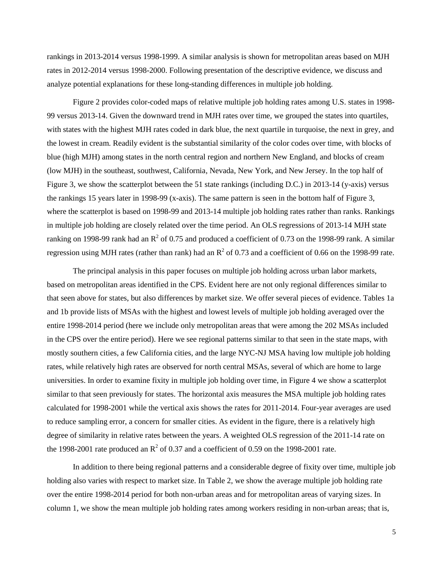rankings in 2013-2014 versus 1998-1999. A similar analysis is shown for metropolitan areas based on MJH rates in 2012-2014 versus 1998-2000. Following presentation of the descriptive evidence, we discuss and analyze potential explanations for these long-standing differences in multiple job holding.

Figure 2 provides color-coded maps of relative multiple job holding rates among U.S. states in 1998- 99 versus 2013-14. Given the downward trend in MJH rates over time, we grouped the states into quartiles, with states with the highest MJH rates coded in dark blue, the next quartile in turquoise, the next in grey, and the lowest in cream. Readily evident is the substantial similarity of the color codes over time, with blocks of blue (high MJH) among states in the north central region and northern New England, and blocks of cream (low MJH) in the southeast, southwest, California, Nevada, New York, and New Jersey. In the top half of Figure 3, we show the scatterplot between the 51 state rankings (including D.C.) in 2013-14 (y-axis) versus the rankings 15 years later in 1998-99 (x-axis). The same pattern is seen in the bottom half of Figure 3, where the scatterplot is based on 1998-99 and 2013-14 multiple job holding rates rather than ranks. Rankings in multiple job holding are closely related over the time period. An OLS regressions of 2013-14 MJH state ranking on 1998-99 rank had an  $R^2$  of 0.75 and produced a coefficient of 0.73 on the 1998-99 rank. A similar regression using MJH rates (rather than rank) had an  $R^2$  of 0.73 and a coefficient of 0.66 on the 1998-99 rate.

The principal analysis in this paper focuses on multiple job holding across urban labor markets, based on metropolitan areas identified in the CPS. Evident here are not only regional differences similar to that seen above for states, but also differences by market size. We offer several pieces of evidence. Tables 1a and 1b provide lists of MSAs with the highest and lowest levels of multiple job holding averaged over the entire 1998-2014 period (here we include only metropolitan areas that were among the 202 MSAs included in the CPS over the entire period). Here we see regional patterns similar to that seen in the state maps, with mostly southern cities, a few California cities, and the large NYC-NJ MSA having low multiple job holding rates, while relatively high rates are observed for north central MSAs, several of which are home to large universities. In order to examine fixity in multiple job holding over time, in Figure 4 we show a scatterplot similar to that seen previously for states. The horizontal axis measures the MSA multiple job holding rates calculated for 1998-2001 while the vertical axis shows the rates for 2011-2014. Four-year averages are used to reduce sampling error, a concern for smaller cities. As evident in the figure, there is a relatively high degree of similarity in relative rates between the years. A weighted OLS regression of the 2011-14 rate on the 1998-2001 rate produced an  $\mathbb{R}^2$  of 0.37 and a coefficient of 0.59 on the 1998-2001 rate.

In addition to there being regional patterns and a considerable degree of fixity over time, multiple job holding also varies with respect to market size. In Table 2, we show the average multiple job holding rate over the entire 1998-2014 period for both non-urban areas and for metropolitan areas of varying sizes. In column 1, we show the mean multiple job holding rates among workers residing in non-urban areas; that is,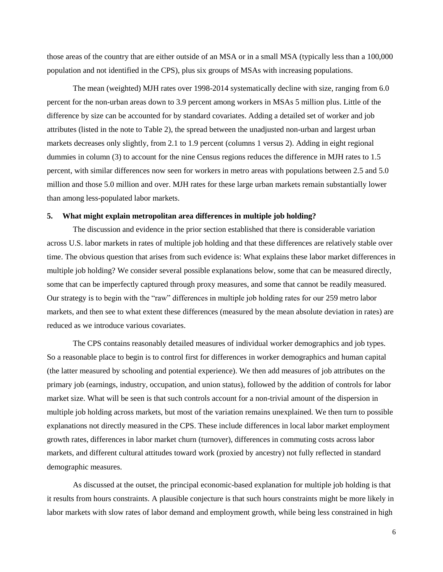those areas of the country that are either outside of an MSA or in a small MSA (typically less than a 100,000 population and not identified in the CPS), plus six groups of MSAs with increasing populations.

The mean (weighted) MJH rates over 1998-2014 systematically decline with size, ranging from 6.0 percent for the non-urban areas down to 3.9 percent among workers in MSAs 5 million plus. Little of the difference by size can be accounted for by standard covariates. Adding a detailed set of worker and job attributes (listed in the note to Table 2), the spread between the unadjusted non-urban and largest urban markets decreases only slightly, from 2.1 to 1.9 percent (columns 1 versus 2). Adding in eight regional dummies in column (3) to account for the nine Census regions reduces the difference in MJH rates to 1.5 percent, with similar differences now seen for workers in metro areas with populations between 2.5 and 5.0 million and those 5.0 million and over. MJH rates for these large urban markets remain substantially lower than among less-populated labor markets.

#### **5. What might explain metropolitan area differences in multiple job holding?**

The discussion and evidence in the prior section established that there is considerable variation across U.S. labor markets in rates of multiple job holding and that these differences are relatively stable over time. The obvious question that arises from such evidence is: What explains these labor market differences in multiple job holding? We consider several possible explanations below, some that can be measured directly, some that can be imperfectly captured through proxy measures, and some that cannot be readily measured. Our strategy is to begin with the "raw" differences in multiple job holding rates for our 259 metro labor markets, and then see to what extent these differences (measured by the mean absolute deviation in rates) are reduced as we introduce various covariates.

The CPS contains reasonably detailed measures of individual worker demographics and job types. So a reasonable place to begin is to control first for differences in worker demographics and human capital (the latter measured by schooling and potential experience). We then add measures of job attributes on the primary job (earnings, industry, occupation, and union status), followed by the addition of controls for labor market size. What will be seen is that such controls account for a non-trivial amount of the dispersion in multiple job holding across markets, but most of the variation remains unexplained. We then turn to possible explanations not directly measured in the CPS. These include differences in local labor market employment growth rates, differences in labor market churn (turnover), differences in commuting costs across labor markets, and different cultural attitudes toward work (proxied by ancestry) not fully reflected in standard demographic measures.

As discussed at the outset, the principal economic-based explanation for multiple job holding is that it results from hours constraints. A plausible conjecture is that such hours constraints might be more likely in labor markets with slow rates of labor demand and employment growth, while being less constrained in high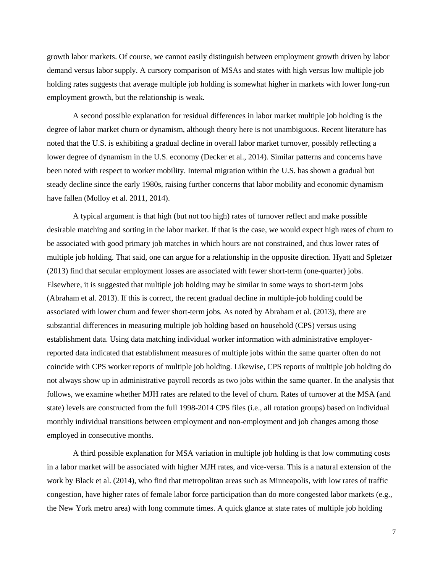growth labor markets. Of course, we cannot easily distinguish between employment growth driven by labor demand versus labor supply. A cursory comparison of MSAs and states with high versus low multiple job holding rates suggests that average multiple job holding is somewhat higher in markets with lower long-run employment growth, but the relationship is weak.

A second possible explanation for residual differences in labor market multiple job holding is the degree of labor market churn or dynamism, although theory here is not unambiguous. Recent literature has noted that the U.S. is exhibiting a gradual decline in overall labor market turnover, possibly reflecting a lower degree of dynamism in the U.S. economy (Decker et al., 2014). Similar patterns and concerns have been noted with respect to worker mobility. Internal migration within the U.S. has shown a gradual but steady decline since the early 1980s, raising further concerns that labor mobility and economic dynamism have fallen (Molloy et al. 2011, 2014).

A typical argument is that high (but not too high) rates of turnover reflect and make possible desirable matching and sorting in the labor market. If that is the case, we would expect high rates of churn to be associated with good primary job matches in which hours are not constrained, and thus lower rates of multiple job holding. That said, one can argue for a relationship in the opposite direction. Hyatt and Spletzer (2013) find that secular employment losses are associated with fewer short-term (one-quarter) jobs. Elsewhere, it is suggested that multiple job holding may be similar in some ways to short-term jobs (Abraham et al. 2013). If this is correct, the recent gradual decline in multiple-job holding could be associated with lower churn and fewer short-term jobs. As noted by Abraham et al. (2013), there are substantial differences in measuring multiple job holding based on household (CPS) versus using establishment data. Using data matching individual worker information with administrative employerreported data indicated that establishment measures of multiple jobs within the same quarter often do not coincide with CPS worker reports of multiple job holding. Likewise, CPS reports of multiple job holding do not always show up in administrative payroll records as two jobs within the same quarter. In the analysis that follows, we examine whether MJH rates are related to the level of churn. Rates of turnover at the MSA (and state) levels are constructed from the full 1998-2014 CPS files (i.e., all rotation groups) based on individual monthly individual transitions between employment and non-employment and job changes among those employed in consecutive months.

A third possible explanation for MSA variation in multiple job holding is that low commuting costs in a labor market will be associated with higher MJH rates, and vice-versa. This is a natural extension of the work by Black et al. (2014), who find that metropolitan areas such as Minneapolis, with low rates of traffic congestion, have higher rates of female labor force participation than do more congested labor markets (e.g., the New York metro area) with long commute times. A quick glance at state rates of multiple job holding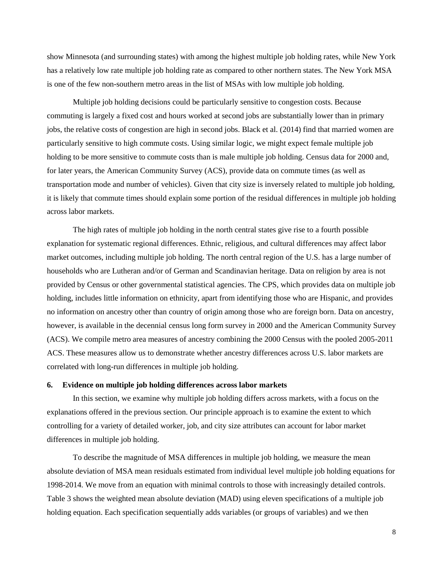show Minnesota (and surrounding states) with among the highest multiple job holding rates, while New York has a relatively low rate multiple job holding rate as compared to other northern states. The New York MSA is one of the few non-southern metro areas in the list of MSAs with low multiple job holding.

Multiple job holding decisions could be particularly sensitive to congestion costs. Because commuting is largely a fixed cost and hours worked at second jobs are substantially lower than in primary jobs, the relative costs of congestion are high in second jobs. Black et al. (2014) find that married women are particularly sensitive to high commute costs. Using similar logic, we might expect female multiple job holding to be more sensitive to commute costs than is male multiple job holding. Census data for 2000 and, for later years, the American Community Survey (ACS), provide data on commute times (as well as transportation mode and number of vehicles). Given that city size is inversely related to multiple job holding, it is likely that commute times should explain some portion of the residual differences in multiple job holding across labor markets.

The high rates of multiple job holding in the north central states give rise to a fourth possible explanation for systematic regional differences. Ethnic, religious, and cultural differences may affect labor market outcomes, including multiple job holding. The north central region of the U.S. has a large number of households who are Lutheran and/or of German and Scandinavian heritage. Data on religion by area is not provided by Census or other governmental statistical agencies. The CPS, which provides data on multiple job holding, includes little information on ethnicity, apart from identifying those who are Hispanic, and provides no information on ancestry other than country of origin among those who are foreign born. Data on ancestry, however, is available in the decennial census long form survey in 2000 and the American Community Survey (ACS). We compile metro area measures of ancestry combining the 2000 Census with the pooled 2005-2011 ACS. These measures allow us to demonstrate whether ancestry differences across U.S. labor markets are correlated with long-run differences in multiple job holding.

#### **6. Evidence on multiple job holding differences across labor markets**

In this section, we examine why multiple job holding differs across markets, with a focus on the explanations offered in the previous section. Our principle approach is to examine the extent to which controlling for a variety of detailed worker, job, and city size attributes can account for labor market differences in multiple job holding.

To describe the magnitude of MSA differences in multiple job holding, we measure the mean absolute deviation of MSA mean residuals estimated from individual level multiple job holding equations for 1998-2014. We move from an equation with minimal controls to those with increasingly detailed controls. Table 3 shows the weighted mean absolute deviation (MAD) using eleven specifications of a multiple job holding equation. Each specification sequentially adds variables (or groups of variables) and we then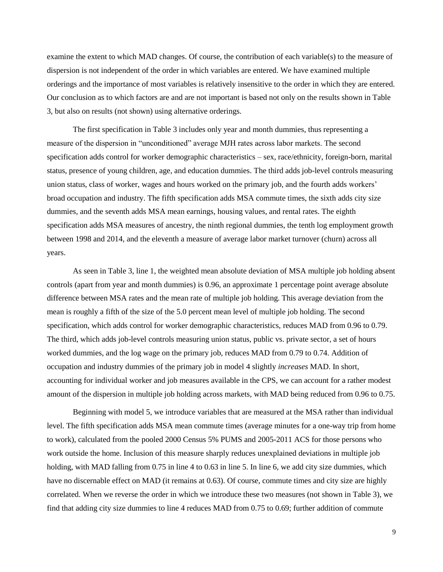examine the extent to which MAD changes. Of course, the contribution of each variable(s) to the measure of dispersion is not independent of the order in which variables are entered. We have examined multiple orderings and the importance of most variables is relatively insensitive to the order in which they are entered. Our conclusion as to which factors are and are not important is based not only on the results shown in Table 3, but also on results (not shown) using alternative orderings.

The first specification in Table 3 includes only year and month dummies, thus representing a measure of the dispersion in "unconditioned" average MJH rates across labor markets. The second specification adds control for worker demographic characteristics – sex, race/ethnicity, foreign-born, marital status, presence of young children, age, and education dummies. The third adds job-level controls measuring union status, class of worker, wages and hours worked on the primary job, and the fourth adds workers' broad occupation and industry. The fifth specification adds MSA commute times, the sixth adds city size dummies, and the seventh adds MSA mean earnings, housing values, and rental rates. The eighth specification adds MSA measures of ancestry, the ninth regional dummies, the tenth log employment growth between 1998 and 2014, and the eleventh a measure of average labor market turnover (churn) across all years.

As seen in Table 3, line 1, the weighted mean absolute deviation of MSA multiple job holding absent controls (apart from year and month dummies) is 0.96, an approximate 1 percentage point average absolute difference between MSA rates and the mean rate of multiple job holding. This average deviation from the mean is roughly a fifth of the size of the 5.0 percent mean level of multiple job holding. The second specification, which adds control for worker demographic characteristics, reduces MAD from 0.96 to 0.79. The third, which adds job-level controls measuring union status, public vs. private sector, a set of hours worked dummies, and the log wage on the primary job, reduces MAD from 0.79 to 0.74. Addition of occupation and industry dummies of the primary job in model 4 slightly *increases* MAD. In short, accounting for individual worker and job measures available in the CPS, we can account for a rather modest amount of the dispersion in multiple job holding across markets, with MAD being reduced from 0.96 to 0.75.

Beginning with model 5, we introduce variables that are measured at the MSA rather than individual level. The fifth specification adds MSA mean commute times (average minutes for a one-way trip from home to work), calculated from the pooled 2000 Census 5% PUMS and 2005-2011 ACS for those persons who work outside the home. Inclusion of this measure sharply reduces unexplained deviations in multiple job holding, with MAD falling from 0.75 in line 4 to 0.63 in line 5. In line 6, we add city size dummies, which have no discernable effect on MAD (it remains at 0.63). Of course, commute times and city size are highly correlated. When we reverse the order in which we introduce these two measures (not shown in Table 3), we find that adding city size dummies to line 4 reduces MAD from 0.75 to 0.69; further addition of commute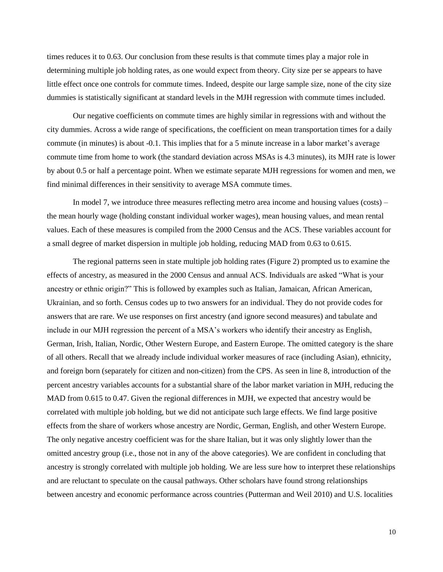times reduces it to 0.63. Our conclusion from these results is that commute times play a major role in determining multiple job holding rates, as one would expect from theory. City size per se appears to have little effect once one controls for commute times. Indeed, despite our large sample size, none of the city size dummies is statistically significant at standard levels in the MJH regression with commute times included.

Our negative coefficients on commute times are highly similar in regressions with and without the city dummies. Across a wide range of specifications, the coefficient on mean transportation times for a daily commute (in minutes) is about -0.1. This implies that for a 5 minute increase in a labor market's average commute time from home to work (the standard deviation across MSAs is 4.3 minutes), its MJH rate is lower by about 0.5 or half a percentage point. When we estimate separate MJH regressions for women and men, we find minimal differences in their sensitivity to average MSA commute times.

In model 7, we introduce three measures reflecting metro area income and housing values (costs) – the mean hourly wage (holding constant individual worker wages), mean housing values, and mean rental values. Each of these measures is compiled from the 2000 Census and the ACS. These variables account for a small degree of market dispersion in multiple job holding, reducing MAD from 0.63 to 0.615.

The regional patterns seen in state multiple job holding rates (Figure 2) prompted us to examine the effects of ancestry, as measured in the 2000 Census and annual ACS. Individuals are asked "What is your ancestry or ethnic origin?" This is followed by examples such as Italian, Jamaican, African American, Ukrainian, and so forth. Census codes up to two answers for an individual. They do not provide codes for answers that are rare. We use responses on first ancestry (and ignore second measures) and tabulate and include in our MJH regression the percent of a MSA's workers who identify their ancestry as English, German, Irish, Italian, Nordic, Other Western Europe, and Eastern Europe. The omitted category is the share of all others. Recall that we already include individual worker measures of race (including Asian), ethnicity, and foreign born (separately for citizen and non-citizen) from the CPS. As seen in line 8, introduction of the percent ancestry variables accounts for a substantial share of the labor market variation in MJH, reducing the MAD from 0.615 to 0.47. Given the regional differences in MJH, we expected that ancestry would be correlated with multiple job holding, but we did not anticipate such large effects. We find large positive effects from the share of workers whose ancestry are Nordic, German, English, and other Western Europe. The only negative ancestry coefficient was for the share Italian, but it was only slightly lower than the omitted ancestry group (i.e., those not in any of the above categories). We are confident in concluding that ancestry is strongly correlated with multiple job holding. We are less sure how to interpret these relationships and are reluctant to speculate on the causal pathways. Other scholars have found strong relationships between ancestry and economic performance across countries (Putterman and Weil 2010) and U.S. localities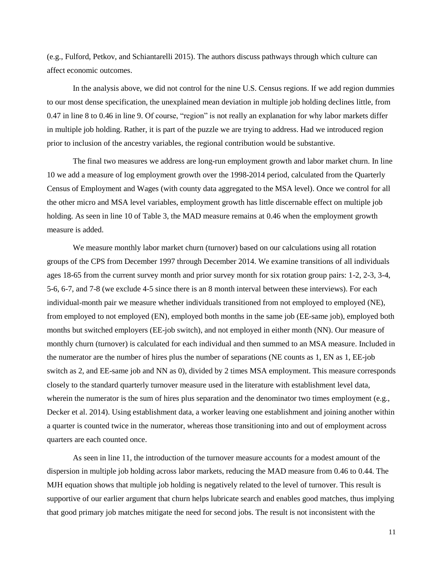(e.g., Fulford, Petkov, and Schiantarelli 2015). The authors discuss pathways through which culture can affect economic outcomes.

In the analysis above, we did not control for the nine U.S. Census regions. If we add region dummies to our most dense specification, the unexplained mean deviation in multiple job holding declines little, from 0.47 in line 8 to 0.46 in line 9. Of course, "region" is not really an explanation for why labor markets differ in multiple job holding. Rather, it is part of the puzzle we are trying to address. Had we introduced region prior to inclusion of the ancestry variables, the regional contribution would be substantive.

The final two measures we address are long-run employment growth and labor market churn. In line 10 we add a measure of log employment growth over the 1998-2014 period, calculated from the Quarterly Census of Employment and Wages (with county data aggregated to the MSA level). Once we control for all the other micro and MSA level variables, employment growth has little discernable effect on multiple job holding. As seen in line 10 of Table 3, the MAD measure remains at 0.46 when the employment growth measure is added.

We measure monthly labor market churn (turnover) based on our calculations using all rotation groups of the CPS from December 1997 through December 2014. We examine transitions of all individuals ages 18-65 from the current survey month and prior survey month for six rotation group pairs: 1-2, 2-3, 3-4, 5-6, 6-7, and 7-8 (we exclude 4-5 since there is an 8 month interval between these interviews). For each individual-month pair we measure whether individuals transitioned from not employed to employed (NE), from employed to not employed (EN), employed both months in the same job (EE-same job), employed both months but switched employers (EE-job switch), and not employed in either month (NN). Our measure of monthly churn (turnover) is calculated for each individual and then summed to an MSA measure. Included in the numerator are the number of hires plus the number of separations (NE counts as 1, EN as 1, EE-job switch as 2, and EE-same job and NN as 0), divided by 2 times MSA employment. This measure corresponds closely to the standard quarterly turnover measure used in the literature with establishment level data, wherein the numerator is the sum of hires plus separation and the denominator two times employment (e.g., Decker et al. 2014). Using establishment data, a worker leaving one establishment and joining another within a quarter is counted twice in the numerator, whereas those transitioning into and out of employment across quarters are each counted once.

As seen in line 11, the introduction of the turnover measure accounts for a modest amount of the dispersion in multiple job holding across labor markets, reducing the MAD measure from 0.46 to 0.44. The MJH equation shows that multiple job holding is negatively related to the level of turnover. This result is supportive of our earlier argument that churn helps lubricate search and enables good matches, thus implying that good primary job matches mitigate the need for second jobs. The result is not inconsistent with the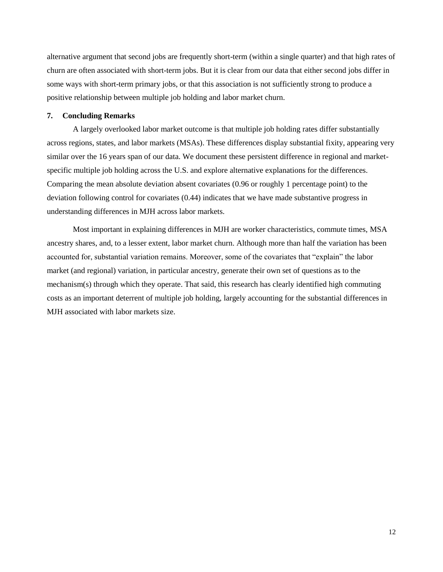alternative argument that second jobs are frequently short-term (within a single quarter) and that high rates of churn are often associated with short-term jobs. But it is clear from our data that either second jobs differ in some ways with short-term primary jobs, or that this association is not sufficiently strong to produce a positive relationship between multiple job holding and labor market churn.

#### **7. Concluding Remarks**

A largely overlooked labor market outcome is that multiple job holding rates differ substantially across regions, states, and labor markets (MSAs). These differences display substantial fixity, appearing very similar over the 16 years span of our data. We document these persistent difference in regional and marketspecific multiple job holding across the U.S. and explore alternative explanations for the differences. Comparing the mean absolute deviation absent covariates (0.96 or roughly 1 percentage point) to the deviation following control for covariates (0.44) indicates that we have made substantive progress in understanding differences in MJH across labor markets.

Most important in explaining differences in MJH are worker characteristics, commute times, MSA ancestry shares, and, to a lesser extent, labor market churn. Although more than half the variation has been accounted for, substantial variation remains. Moreover, some of the covariates that "explain" the labor market (and regional) variation, in particular ancestry, generate their own set of questions as to the mechanism(s) through which they operate. That said, this research has clearly identified high commuting costs as an important deterrent of multiple job holding, largely accounting for the substantial differences in MJH associated with labor markets size.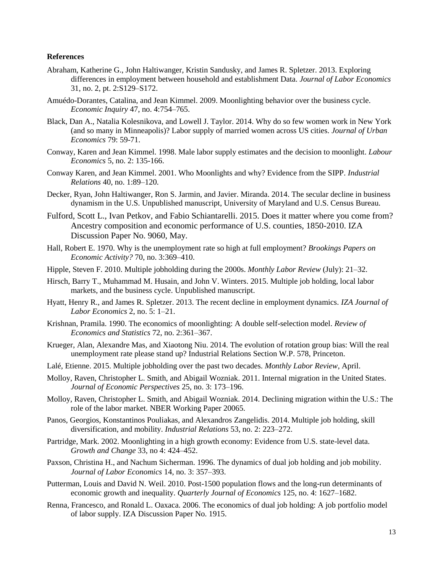#### **References**

- Abraham, Katherine G., John Haltiwanger, Kristin Sandusky, and James R. Spletzer. 2013. Exploring differences in employment between household and establishment Data. *Journal of Labor Economics* 31, no. 2, pt. 2:S129–S172.
- Amuédo-Dorantes, Catalina, and Jean Kimmel. 2009. Moonlighting behavior over the business cycle. *Economic Inquiry* 47, no. 4:754–765.
- Black, Dan A., Natalia Kolesnikova, and Lowell J. Taylor. 2014. Why do so few women work in New York (and so many in Minneapolis)? Labor supply of married women across US cities. *Journal of Urban Economics* 79: 59-71.
- Conway, Karen and Jean Kimmel. 1998. Male labor supply estimates and the decision to moonlight. *Labour Economics* 5, no. 2: 135-166.
- Conway Karen, and Jean Kimmel. 2001. Who Moonlights and why? Evidence from the SIPP. *Industrial Relations* 40, no. 1:89–120.
- Decker, Ryan, John Haltiwanger, Ron S. Jarmin, and Javier. Miranda. 2014. The secular decline in business dynamism in the U.S. Unpublished manuscript, University of Maryland and U.S. Census Bureau.
- Fulford, Scott L., Ivan Petkov, and Fabio Schiantarelli. 2015. Does it matter where you come from? Ancestry composition and economic performance of U.S. counties, 1850-2010. IZA Discussion Paper No. 9060, May.
- Hall, Robert E. 1970. Why is the unemployment rate so high at full employment? *Brookings Papers on Economic Activity?* 70, no. 3:369–410.
- Hipple, Steven F. 2010. Multiple jobholding during the 2000s. *Monthly Labor Review* (July): 21–32.
- Hirsch, Barry T., Muhammad M. Husain, and John V. Winters. 2015. Multiple job holding, local labor markets, and the business cycle. Unpublished manuscript.
- Hyatt, Henry R., and James R. Spletzer. 2013. The recent decline in employment dynamics. *IZA Journal of Labor Economics* 2, no. 5: 1–21.
- Krishnan, Pramila. 1990. The economics of moonlighting: A double self-selection model. *Review of Economics and Statistics* 72, no. 2:361–367.
- Krueger, Alan, Alexandre Mas, and Xiaotong Niu. 2014. The evolution of rotation group bias: Will the real unemployment rate please stand up? Industrial Relations Section W.P. 578, Princeton.
- Lalé, Etienne. 2015. Multiple jobholding over the past two decades. *Monthly Labor Review*, April.
- Molloy, Raven, Christopher L. Smith, and Abigail Wozniak. 2011. Internal migration in the United States. *Journal of Economic Perspectives* 25, no. 3: 173–196.
- Molloy, Raven, Christopher L. Smith, and Abigail Wozniak. 2014. Declining migration within the U.S.: The role of the labor market. NBER Working Paper 20065.
- Panos, Georgios, Konstantinos Pouliakas, and Alexandros Zangelidis. 2014. Multiple job holding, skill diversification, and mobility. *Industrial Relations* 53, no. 2: 223–272.
- Partridge, Mark. 2002. Moonlighting in a high growth economy: Evidence from U.S. state-level data. *Growth and Change* 33, no 4: 424–452.
- Paxson, Christina H., and Nachum Sicherman. 1996. The dynamics of dual job holding and job mobility. *Journal of Labor Economics* 14, no. 3: 357–393.
- Putterman, Louis and David N. Weil. 2010. Post-1500 population flows and the long-run determinants of economic growth and inequality. *Quarterly Journal of Economics* 125, no. 4: 1627–1682.
- Renna, Francesco, and Ronald L. Oaxaca. 2006. The economics of dual job holding: A job portfolio model of labor supply. IZA Discussion Paper No. 1915.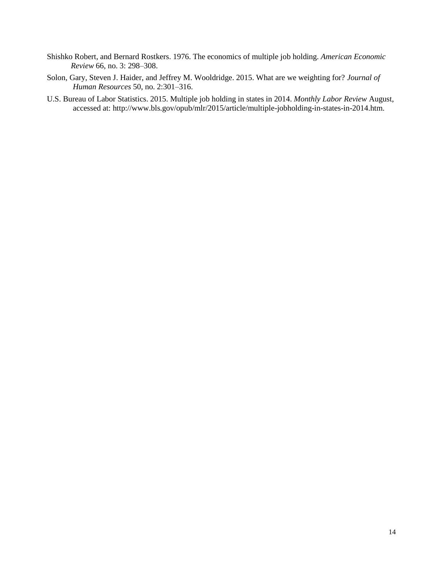- Shishko Robert, and Bernard Rostkers. 1976. The economics of multiple job holding. *American Economic Review* 66, no. 3: 298–308.
- Solon, Gary, Steven J. Haider, and Jeffrey M. Wooldridge. 2015. What are we weighting for? *Journal of Human Resources* 50, no. 2:301–316.
- U.S. Bureau of Labor Statistics. 2015. Multiple job holding in states in 2014. *Monthly Labor Review* August, accessed at: http://www.bls.gov/opub/mlr/2015/article/multiple-jobholding-in-states-in-2014.htm.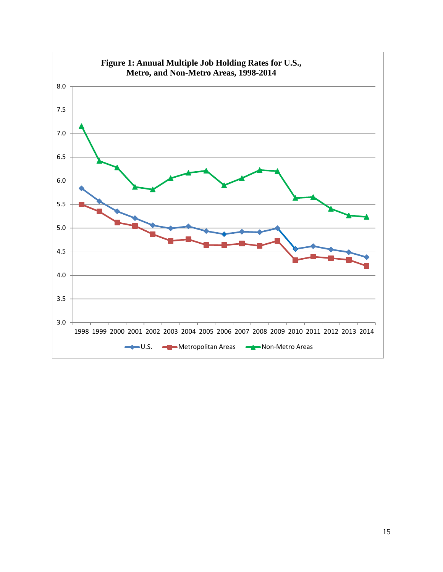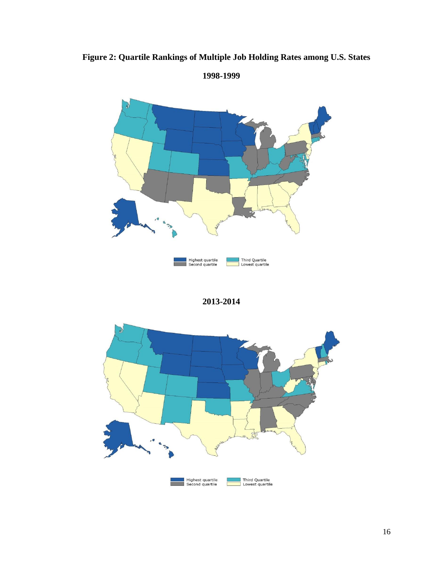

**Figure 2: Quartile Rankings of Multiple Job Holding Rates among U.S. States**



### **2013-2014**

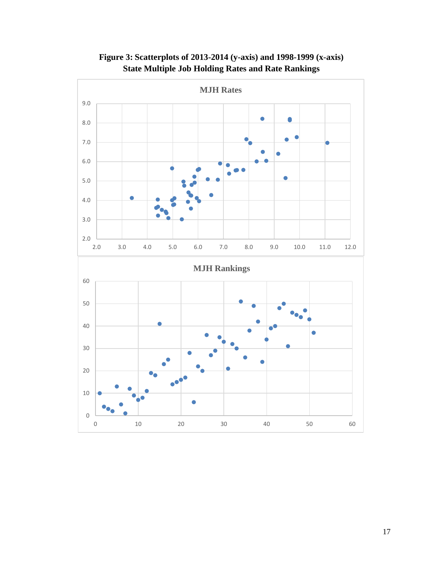

**Figure 3: Scatterplots of 2013-2014 (y-axis) and 1998-1999 (x-axis) State Multiple Job Holding Rates and Rate Rankings**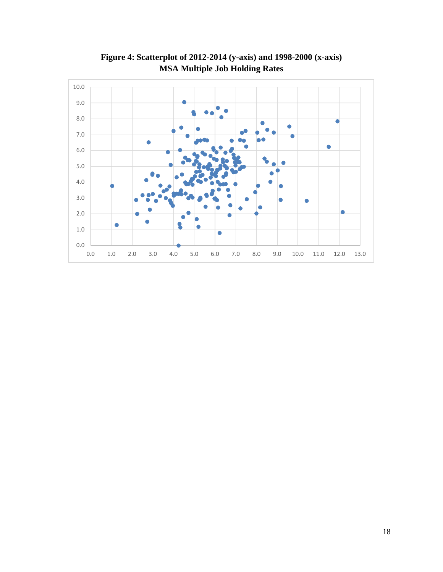

**Figure 4: Scatterplot of 2012-2014 (y-axis) and 1998-2000 (x-axis) MSA Multiple Job Holding Rates**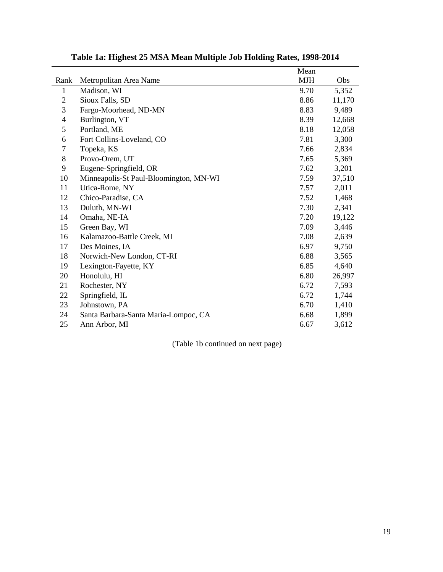|                |                                        | Mean       |        |
|----------------|----------------------------------------|------------|--------|
| Rank           | Metropolitan Area Name                 | <b>MJH</b> | Obs    |
| $\mathbf{1}$   | Madison, WI                            | 9.70       | 5,352  |
| $\overline{2}$ | Sioux Falls, SD                        | 8.86       | 11,170 |
| 3              | Fargo-Moorhead, ND-MN                  | 8.83       | 9,489  |
| 4              | Burlington, VT                         | 8.39       | 12,668 |
| 5              | Portland, ME                           | 8.18       | 12,058 |
| 6              | Fort Collins-Loveland, CO              | 7.81       | 3,300  |
| 7              | Topeka, KS                             | 7.66       | 2,834  |
| 8              | Provo-Orem, UT                         | 7.65       | 5,369  |
| 9              | Eugene-Springfield, OR                 | 7.62       | 3,201  |
| 10             | Minneapolis-St Paul-Bloomington, MN-WI | 7.59       | 37,510 |
| 11             | Utica-Rome, NY                         | 7.57       | 2,011  |
| 12             | Chico-Paradise, CA                     | 7.52       | 1,468  |
| 13             | Duluth, MN-WI                          | 7.30       | 2,341  |
| 14             | Omaha, NE-IA                           | 7.20       | 19,122 |
| 15             | Green Bay, WI                          | 7.09       | 3,446  |
| 16             | Kalamazoo-Battle Creek, MI             | 7.08       | 2,639  |
| 17             | Des Moines, IA                         | 6.97       | 9,750  |
| 18             | Norwich-New London, CT-RI              | 6.88       | 3,565  |
| 19             | Lexington-Fayette, KY                  | 6.85       | 4,640  |
| 20             | Honolulu, HI                           | 6.80       | 26,997 |
| 21             | Rochester, NY                          | 6.72       | 7,593  |
| 22             | Springfield, IL                        | 6.72       | 1,744  |
| 23             | Johnstown, PA                          | 6.70       | 1,410  |
| 24             | Santa Barbara-Santa Maria-Lompoc, CA   | 6.68       | 1,899  |
| 25             | Ann Arbor, MI                          | 6.67       | 3,612  |

### **Table 1a: Highest 25 MSA Mean Multiple Job Holding Rates, 1998-2014**

(Table 1b continued on next page)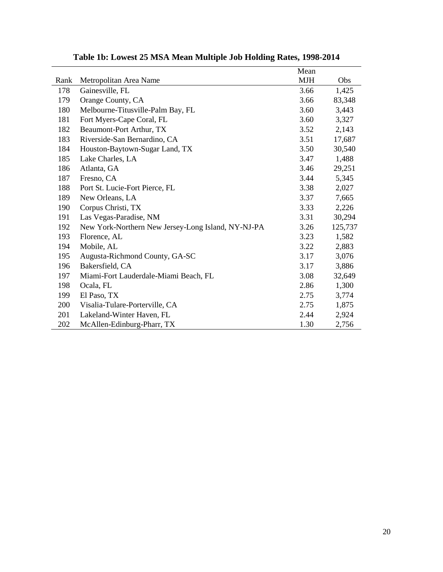|      |                                                    | Mean       |         |
|------|----------------------------------------------------|------------|---------|
| Rank | Metropolitan Area Name                             | <b>MJH</b> | Obs     |
| 178  | Gainesville, FL                                    | 3.66       | 1,425   |
| 179  | Orange County, CA                                  | 3.66       | 83,348  |
| 180  | Melbourne-Titusville-Palm Bay, FL                  | 3.60       | 3,443   |
| 181  | Fort Myers-Cape Coral, FL                          | 3.60       | 3,327   |
| 182  | Beaumont-Port Arthur, TX                           | 3.52       | 2,143   |
| 183  | Riverside-San Bernardino, CA                       | 3.51       | 17,687  |
| 184  | Houston-Baytown-Sugar Land, TX                     | 3.50       | 30,540  |
| 185  | Lake Charles, LA                                   | 3.47       | 1,488   |
| 186  | Atlanta, GA                                        | 3.46       | 29,251  |
| 187  | Fresno, CA                                         | 3.44       | 5,345   |
| 188  | Port St. Lucie-Fort Pierce, FL                     | 3.38       | 2,027   |
| 189  | New Orleans, LA                                    | 3.37       | 7,665   |
| 190  | Corpus Christi, TX                                 | 3.33       | 2,226   |
| 191  | Las Vegas-Paradise, NM                             | 3.31       | 30,294  |
| 192  | New York-Northern New Jersey-Long Island, NY-NJ-PA | 3.26       | 125,737 |
| 193  | Florence, AL                                       | 3.23       | 1,582   |
| 194  | Mobile, AL                                         | 3.22       | 2,883   |
| 195  | Augusta-Richmond County, GA-SC                     | 3.17       | 3,076   |
| 196  | Bakersfield, CA                                    | 3.17       | 3,886   |
| 197  | Miami-Fort Lauderdale-Miami Beach, FL              | 3.08       | 32,649  |
| 198  | Ocala, FL                                          | 2.86       | 1,300   |
| 199  | El Paso, TX                                        | 2.75       | 3,774   |
| 200  | Visalia-Tulare-Porterville, CA                     | 2.75       | 1,875   |
| 201  | Lakeland-Winter Haven, FL                          | 2.44       | 2,924   |
| 202  | McAllen-Edinburg-Pharr, TX                         | 1.30       | 2,756   |

## **Table 1b: Lowest 25 MSA Mean Multiple Job Holding Rates, 1998-2014**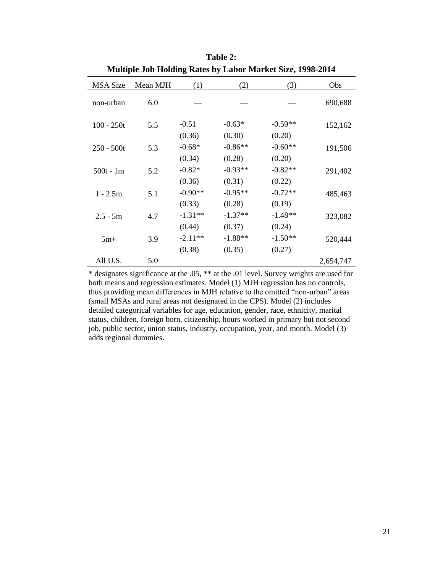| Multiple Job Holding Rates by Labor Market Size, 1998-2014 |          |           |           |           |           |  |  |
|------------------------------------------------------------|----------|-----------|-----------|-----------|-----------|--|--|
| <b>MSA Size</b>                                            | Mean MJH | (1)       | (2)       | (3)       | Obs       |  |  |
| non-urban                                                  | 6.0      |           |           |           | 690,688   |  |  |
| $100 - 250t$                                               | 5.5      | $-0.51$   | $-0.63*$  | $-0.59**$ | 152,162   |  |  |
|                                                            |          | (0.36)    | (0.30)    | (0.20)    |           |  |  |
| $250 - 500t$                                               | 5.3      | $-0.68*$  | $-0.86**$ | $-0.60**$ | 191,506   |  |  |
|                                                            |          | (0.34)    | (0.28)    | (0.20)    |           |  |  |
| $500t - 1m$                                                | 5.2      | $-0.82*$  | $-0.93**$ | $-0.82**$ | 291,402   |  |  |
|                                                            |          | (0.36)    | (0.31)    | (0.22)    |           |  |  |
| $1 - 2.5m$                                                 | 5.1      | $-0.90**$ | $-0.95**$ | $-0.72**$ | 485,463   |  |  |
|                                                            |          | (0.33)    | (0.28)    | (0.19)    |           |  |  |
| $2.5 - 5m$                                                 | 4.7      | $-1.31**$ | $-1.37**$ | $-1.48**$ | 323,082   |  |  |
|                                                            |          | (0.44)    | (0.37)    | (0.24)    |           |  |  |
| $5m+$                                                      | 3.9      | $-2.11**$ | $-1.88**$ | $-1.50**$ | 520,444   |  |  |
|                                                            |          | (0.38)    | (0.35)    | (0.27)    |           |  |  |
| All U.S.                                                   | 5.0      |           |           |           | 2,654,747 |  |  |

**Table 2: Multiple Job Holding Rates by Labor Market Size, 1998-2014**

\* designates significance at the .05, \*\* at the .01 level. Survey weights are used for both means and regression estimates. Model (1) MJH regression has no controls, thus providing mean differences in MJH relative to the omitted "non-urban" areas (small MSAs and rural areas not designated in the CPS). Model (2) includes detailed categorical variables for age, education, gender, race, ethnicity, marital status, children, foreign born, citizenship, hours worked in primary but not second job, public sector, union status, industry, occupation, year, and month. Model (3) adds regional dummies.